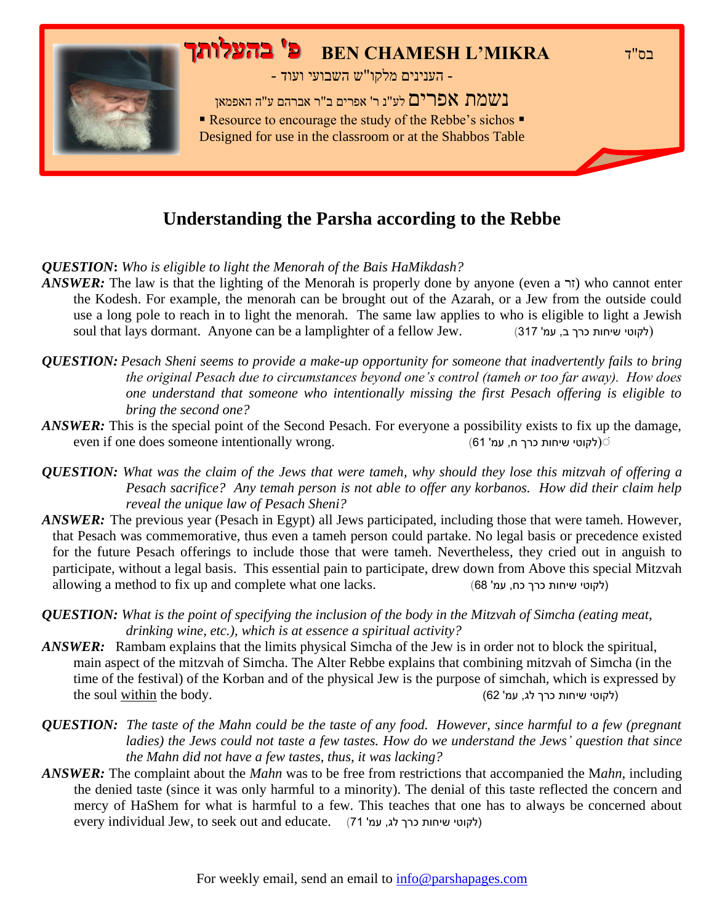

#### **Understanding the Parsha according to the Rebbe**

*QUESTION***:** *Who is eligible to light the Menorah of the Bais HaMikdash?*

- *ANSWER*: The law is that the lighting of the Menorah is properly done by anyone (even a  $\tau$ ) who cannot enter the Kodesh. For example, the menorah can be brought out of the Azarah, or a Jew from the outside could use a long pole to reach in to light the menorah. The same law applies to who is eligible to light a Jewish soul that lays dormant. Anyone can be a lamplighter of a fellow Jew. ( $317$  לקוטי שיחות כרך ב, עמ')
- *QUESTION: Pesach Sheni seems to provide a make-up opportunity for someone that inadvertently fails to bring the original Pesach due to circumstances beyond one's control (tameh or too far away). How does one understand that someone who intentionally missing the first Pesach offering is eligible to bring the second one?*
- *ANSWER*: This is the special point of the Second Pesach. For everyone a possibility exists to fix up the damage, even if one does someone intentionally wrong. )61 'עמ ,ח כרך שיחות לקוטי )ׁ
- *QUESTION: What was the claim of the Jews that were tameh, why should they lose this mitzvah of offering a Pesach sacrifice? Any temah person is not able to offer any korbanos. How did their claim help reveal the unique law of Pesach Sheni?*
- *ANSWER:* The previous year (Pesach in Egypt) all Jews participated, including those that were tameh. However, that Pesach was commemorative, thus even a tameh person could partake. No legal basis or precedence existed for the future Pesach offerings to include those that were tameh. Nevertheless, they cried out in anguish to participate, without a legal basis. This essential pain to participate, drew down from Above this special Mitzvah allowing a method to fix up and complete what one lacks. (לקוטי שיחות כרך כח, עמ' 68)
- *QUESTION: What is the point of specifying the inclusion of the body in the Mitzvah of Simcha (eating meat, drinking wine, etc.), which is at essence a spiritual activity?*
- *ANSWER:* Rambam explains that the limits physical Simcha of the Jew is in order not to block the spiritual, main aspect of the mitzvah of Simcha. The Alter Rebbe explains that combining mitzvah of Simcha (in the time of the festival) of the Korban and of the physical Jew is the purpose of simchah, which is expressed by  $\alpha$ לקוטי שיחות כרך לג, עמ' 62 $(62 \text{ to } \alpha)$
- *QUESTION: The taste of the Mahn could be the taste of any food. However, since harmful to a few (pregnant ladies) the Jews could not taste a few tastes. How do we understand the Jews' question that since the Mahn did not have a few tastes, thus, it was lacking?*
- *ANSWER:* The complaint about the *Mahn* was to be free from restrictions that accompanied the M*ahn*, including the denied taste (since it was only harmful to a minority). The denial of this taste reflected the concern and mercy of HaShem for what is harmful to a few. This teaches that one has to always be concerned about every individual Jew, to seek out and educate. (71 'לקוטי שיחות כרך לג, עמ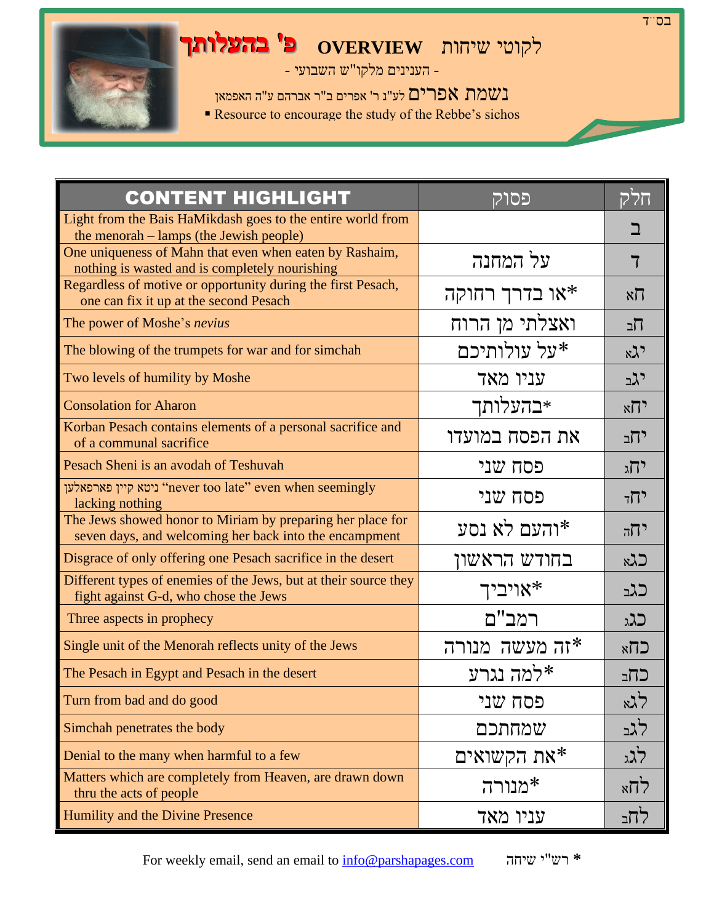## לקוטי שיחות **OVERVIEW פ' בהע לותך**

- הענינים מלקו"ש השבועי -

נשמת אפרים לע"נ ר' אפרים ב"ר אברהם ע"ה האפמאן

■ Resource to encourage the study of the Rebbe's sichos

| <b>CONTENT HIGHLIGHT</b>                                                                                             | פסוק            | חלק             |
|----------------------------------------------------------------------------------------------------------------------|-----------------|-----------------|
| Light from the Bais HaMikdash goes to the entire world from<br>the menorah – lamps (the Jewish people)               |                 |                 |
| One uniqueness of Mahn that even when eaten by Rashaim,<br>nothing is wasted and is completely nourishing            | על המחנה        |                 |
| Regardless of motive or opportunity during the first Pesach,<br>one can fix it up at the second Pesach               | או בדרך רחוקה*  | $x\overline{U}$ |
| The power of Moshe's nevius                                                                                          | ואצלתי מן הרוח  | תׁב             |
| The blowing of the trumpets for war and for simchah                                                                  | על עולותיכם*    | $x\lambda$ י    |
| Two levels of humility by Moshe                                                                                      | עניו מאד        | <u>יגב</u>      |
| <b>Consolation for Aharon</b>                                                                                        | ∗בהעלותך        | $\kappa$        |
| Korban Pesach contains elements of a personal sacrifice and<br>of a communal sacrifice                               | את הפסח במועדו  | יחב             |
| Pesach Sheni is an avodah of Teshuvah                                                                                | פסח שני         | יהג             |
| ניטא קיין פארפאלען "never too late" even when seemingly<br>lacking nothing                                           | פסח שני         | יחד             |
| The Jews showed honor to Miriam by preparing her place for<br>seven days, and welcoming her back into the encampment | והעם לא נסע*    | $77^{\circ}$    |
| Disgrace of only offering one Pesach sacrifice in the desert                                                         | בחודש הראשון    | כגא             |
| Different types of enemies of the Jews, but at their source they<br>fight against G-d, who chose the Jews            | אויביך*         | כגב             |
| Three aspects in prophecy                                                                                            | רמב"ם           | כגג             |
| Single unit of the Menorah reflects unity of the Jews                                                                | *זה מעשה מנורה  | $k$ $7$         |
| The Pesach in Egypt and Pesach in the desert                                                                         | למה נגרע $\ast$ | כחב             |
| Turn from bad and do good                                                                                            | פסח שני         | לגא             |
| Simchah penetrates the body                                                                                          | שמחתכם          | לגב             |
| Denial to the many when harmful to a few                                                                             | את הקשואים $*$  | לגג             |
| Matters which are completely from Heaven, are drawn down<br>thru the acts of people                                  | *מנורה          | $\times 77$     |
| Humility and the Divine Presence                                                                                     | עניו מאד        | לחב             |

For weekly email, send an email to [info@parshapages.com](mailto:info@parshapages.com) שיחה י"רש**\***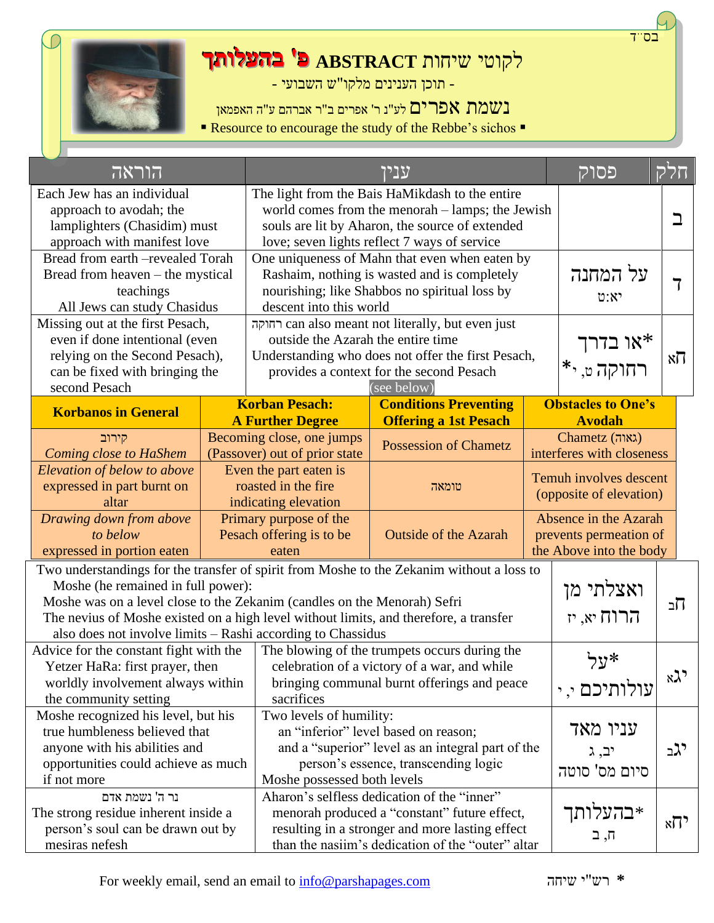

# לקוטי שיחות **ABSTRACT פ' בהעלותך**

- תוכן הענינים מלקו"ש השבועי -

נשמת אפרים לע"נ ר' אפרים ב"ר אברהם ע"ה האפמאן

■ Resource to encourage the study of the Rebbe's sichos ■

| הוראה                                                                                     |                                                   |                                                                            | עניו                                                         |                           | פסוק                      | חלק          |                         |
|-------------------------------------------------------------------------------------------|---------------------------------------------------|----------------------------------------------------------------------------|--------------------------------------------------------------|---------------------------|---------------------------|--------------|-------------------------|
| Each Jew has an individual                                                                |                                                   |                                                                            | The light from the Bais HaMikdash to the entire              |                           |                           |              |                         |
| approach to avodah; the                                                                   |                                                   | world comes from the menorah – lamps; the Jewish                           |                                                              |                           |                           |              |                         |
| lamplighters (Chasidim) must                                                              |                                                   | souls are lit by Aharon, the source of extended                            |                                                              |                           |                           |              |                         |
| approach with manifest love                                                               |                                                   |                                                                            | love; seven lights reflect 7 ways of service                 |                           |                           |              |                         |
| Bread from earth -revealed Torah                                                          |                                                   |                                                                            | One uniqueness of Mahn that even when eaten by               |                           |                           |              |                         |
| Bread from heaven – the mystical                                                          |                                                   | Rashaim, nothing is wasted and is completely                               | על המחנה                                                     |                           |                           |              |                         |
| teachings                                                                                 |                                                   | nourishing; like Shabbos no spiritual loss by                              | 0:8                                                          |                           |                           |              |                         |
| All Jews can study Chasidus                                                               |                                                   | descent into this world                                                    |                                                              |                           |                           |              |                         |
| Missing out at the first Pesach,                                                          |                                                   |                                                                            | can also meant not literally, but even just                  |                           |                           |              |                         |
| even if done intentional (even                                                            |                                                   | outside the Azarah the entire time                                         |                                                              |                           | או בדרך*<br>רחוקה ט, י*   |              |                         |
| relying on the Second Pesach),                                                            |                                                   |                                                                            | Understanding who does not offer the first Pesach,           |                           |                           |              | $\aleph \overline{\Pi}$ |
| can be fixed with bringing the                                                            |                                                   |                                                                            | provides a context for the second Pesach                     |                           |                           |              |                         |
| second Pesach                                                                             |                                                   | <b>Korban Pesach:</b>                                                      | (see below)                                                  |                           | <b>Obstacles to One's</b> |              |                         |
| <b>Korbanos in General</b>                                                                |                                                   | <b>A Further Degree</b>                                                    | <b>Conditions Preventing</b><br><b>Offering a 1st Pesach</b> |                           | <b>Avodah</b>             |              |                         |
| קירוב                                                                                     |                                                   | Becoming close, one jumps                                                  |                                                              |                           | Chametz (גאוה)            |              |                         |
| <b>Coming close to HaShem</b>                                                             |                                                   | (Passover) out of prior state                                              | <b>Possession of Chametz</b>                                 | interferes with closeness |                           |              |                         |
| Elevation of below to above                                                               |                                                   | Even the part eaten is                                                     |                                                              |                           | Temuh involves descent    |              |                         |
| expressed in part burnt on                                                                | roasted in the fire                               |                                                                            | טומאה                                                        |                           |                           |              |                         |
| altar                                                                                     |                                                   | (opposite of elevation)<br>indicating elevation                            |                                                              |                           |                           |              |                         |
| Drawing down from above                                                                   |                                                   | Primary purpose of the                                                     |                                                              |                           | Absence in the Azarah     |              |                         |
| to below                                                                                  |                                                   | Pesach offering is to be                                                   | <b>Outside of the Azarah</b>                                 |                           | prevents permeation of    |              |                         |
| expressed in portion eaten                                                                |                                                   | eaten                                                                      |                                                              |                           | the Above into the body   |              |                         |
| Two understandings for the transfer of spirit from Moshe to the Zekanim without a loss to |                                                   |                                                                            |                                                              |                           |                           |              |                         |
| Moshe (he remained in full power):                                                        |                                                   |                                                                            |                                                              |                           | ואצלתי מן                 |              |                         |
| Moshe was on a level close to the Zekanim (candles on the Menorah) Sefri                  |                                                   |                                                                            |                                                              |                           |                           | תב           |                         |
| The nevius of Moshe existed on a high level without limits, and therefore, a transfer     |                                                   |                                                                            |                                                              |                           | $\mathbf{r}$ הרוח יא, יז  |              |                         |
| also does not involve limits - Rashi according to Chassidus                               |                                                   |                                                                            |                                                              |                           |                           |              |                         |
| Advice for the constant fight with the                                                    |                                                   |                                                                            | The blowing of the trumpets occurs during the                |                           | *על                       |              |                         |
| Yetzer HaRa: first prayer, then                                                           |                                                   | celebration of a victory of a war, and while                               |                                                              |                           |                           | $x\lambda$ י |                         |
| worldly involvement always within                                                         |                                                   |                                                                            | bringing communal burnt offerings and peace                  |                           | עולותיכם י, י             |              |                         |
| the community setting                                                                     |                                                   | sacrifices                                                                 |                                                              |                           |                           |              |                         |
| Moshe recognized his level, but his                                                       | Two levels of humility:                           |                                                                            |                                                              | עניו מאד                  |                           |              |                         |
| an "inferior" level based on reason;<br>true humbleness believed that                     |                                                   |                                                                            |                                                              |                           |                           |              |                         |
| anyone with his abilities and<br>opportunities could achieve as much                      | and a "superior" level as an integral part of the |                                                                            |                                                              |                           | יב, ג                     | יגב          |                         |
| if not more                                                                               |                                                   | person's essence, transcending logic                                       |                                                              |                           | סיום מס' סוטה             |              |                         |
| נר ה' נשמת אדם                                                                            |                                                   | Moshe possessed both levels<br>Aharon's selfless dedication of the "inner" |                                                              |                           |                           |              |                         |
| The strong residue inherent inside a                                                      |                                                   | menorah produced a "constant" future effect,                               |                                                              |                           | ∗בהעלותך                  |              |                         |
| person's soul can be drawn out by                                                         |                                                   | resulting in a stronger and more lasting effect                            |                                                              |                           |                           | $\kappa$ ל   |                         |
| mesiras nefesh                                                                            |                                                   |                                                                            | ⊓, ב<br>than the nasiim's dedication of the "outer" altar    |                           |                           |              |                         |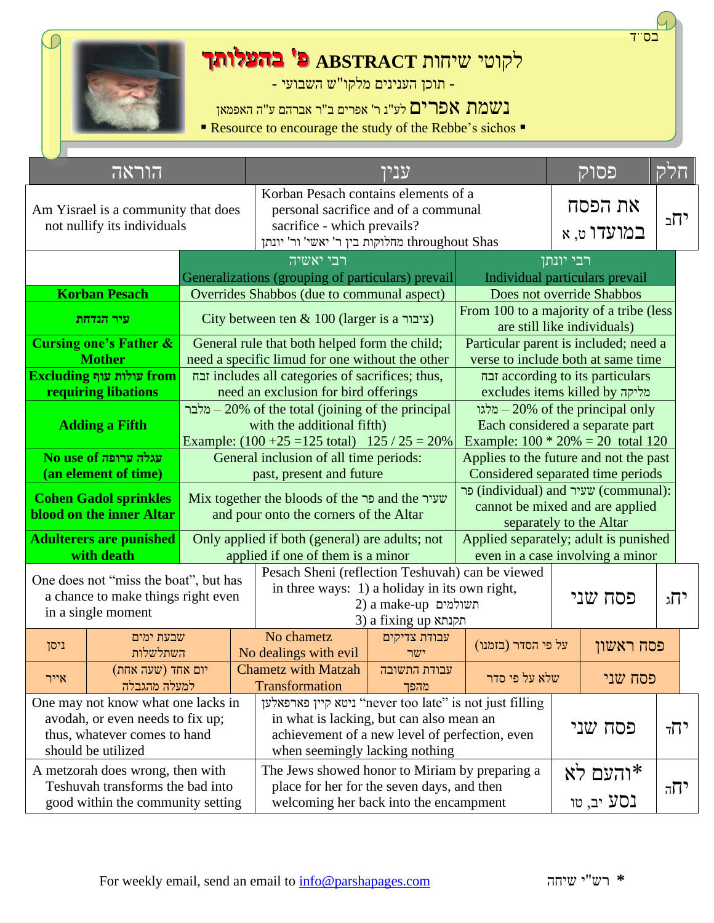

# לקוטי שיחות **ABSTRACT פ' בהעלותך**

- תוכן הענינים מלקו"ש השבועי -

נשמת אפרים לע"נ ר' אפרים ב"ר אברהם ע"ה האפמאן

■ Resource to encourage the study of the Rebbe's sichos ■

|                                                                                | הוראה                                                                                             |                                                                                                                                                                                                      |                                                                                             |                                                                                                                                                | ענין                                                                        |                                                                                                    |                                       | פסוק                                                                   | חלק |  |
|--------------------------------------------------------------------------------|---------------------------------------------------------------------------------------------------|------------------------------------------------------------------------------------------------------------------------------------------------------------------------------------------------------|---------------------------------------------------------------------------------------------|------------------------------------------------------------------------------------------------------------------------------------------------|-----------------------------------------------------------------------------|----------------------------------------------------------------------------------------------------|---------------------------------------|------------------------------------------------------------------------|-----|--|
|                                                                                | not nullify its individuals                                                                       | Korban Pesach contains elements of a<br>personal sacrifice and of a communal<br>Am Yisrael is a community that does<br>sacrifice - which prevails?<br>מחלוקות בין ר' יאשי' ור' יונתן throughout Shas |                                                                                             |                                                                                                                                                |                                                                             |                                                                                                    | את הפסח<br>במועדו ט, א                | יחב                                                                    |     |  |
|                                                                                |                                                                                                   |                                                                                                                                                                                                      | רבי יאשיה                                                                                   |                                                                                                                                                |                                                                             |                                                                                                    | רבי יונתן                             |                                                                        |     |  |
|                                                                                | <b>Korban Pesach</b>                                                                              |                                                                                                                                                                                                      |                                                                                             | Generalizations (grouping of particulars) prevail                                                                                              |                                                                             | Individual particulars prevail<br>Does not override Shabbos                                        |                                       |                                                                        |     |  |
|                                                                                | עיר הנדחת                                                                                         |                                                                                                                                                                                                      | Overrides Shabbos (due to communal aspect)<br>City between ten $\&$ 100 (larger is a ציבור) |                                                                                                                                                |                                                                             |                                                                                                    |                                       | From 100 to a majority of a tribe (less<br>are still like individuals) |     |  |
|                                                                                | <b>Cursing one's Father &amp;</b>                                                                 |                                                                                                                                                                                                      |                                                                                             | General rule that both helped form the child;                                                                                                  |                                                                             |                                                                                                    | Particular parent is included; need a |                                                                        |     |  |
|                                                                                | <b>Mother</b>                                                                                     |                                                                                                                                                                                                      |                                                                                             | need a specific limud for one without the other                                                                                                |                                                                             | verse to include both at same time                                                                 |                                       |                                                                        |     |  |
|                                                                                | Excluding עולות עוף                                                                               |                                                                                                                                                                                                      |                                                                                             | includes all categories of sacrifices; thus,                                                                                                   |                                                                             | according to its particulars                                                                       |                                       |                                                                        |     |  |
|                                                                                | requiring libations                                                                               |                                                                                                                                                                                                      |                                                                                             | need an exclusion for bird offerings                                                                                                           |                                                                             |                                                                                                    | excludes items killed by מליקה        |                                                                        |     |  |
| <b>Adding a Fifth</b>                                                          |                                                                                                   |                                                                                                                                                                                                      | מלבר $-20\%$ of the total (joining of the principal<br>with the additional fifth)           | מלגו $-20\%$ of the principal only<br>Each considered a separate part                                                                          |                                                                             |                                                                                                    |                                       |                                                                        |     |  |
| No use of עגלה ערופה                                                           |                                                                                                   |                                                                                                                                                                                                      |                                                                                             | Example: $100 * 20% = 20$ total 120<br>Example: $(100 + 25 = 125 \text{ total})$ 125 / 25 = 20%                                                |                                                                             |                                                                                                    |                                       |                                                                        |     |  |
|                                                                                | (an element of time)                                                                              | General inclusion of all time periods:<br>past, present and future                                                                                                                                   |                                                                                             |                                                                                                                                                | Applies to the future and not the past<br>Considered separated time periods |                                                                                                    |                                       |                                                                        |     |  |
|                                                                                | <b>Cohen Gadol sprinkles</b><br>blood on the inner Altar                                          |                                                                                                                                                                                                      | Mix together the bloods of the פר and the שעיר<br>and pour onto the corners of the Altar    |                                                                                                                                                |                                                                             | פר (individual) and שעיר (communal):<br>cannot be mixed and are applied<br>separately to the Altar |                                       |                                                                        |     |  |
| <b>Adulterers are punished</b>                                                 |                                                                                                   | Only applied if both (general) are adults; not                                                                                                                                                       |                                                                                             | Applied separately; adult is punished                                                                                                          |                                                                             |                                                                                                    |                                       |                                                                        |     |  |
| with death<br>applied if one of them is a minor                                |                                                                                                   | even in a case involving a minor                                                                                                                                                                     |                                                                                             |                                                                                                                                                |                                                                             |                                                                                                    |                                       |                                                                        |     |  |
|                                                                                | One does not "miss the boat", but has<br>a chance to make things right even<br>in a single moment |                                                                                                                                                                                                      |                                                                                             | Pesach Sheni (reflection Teshuvah) can be viewed<br>in three ways: 1) a holiday in its own right,<br>תשולמים a make-up<br>3) a fixing up תקנתא |                                                                             |                                                                                                    |                                       | פסח שני                                                                | יהג |  |
| ניסן                                                                           | שבעת ימים<br>השתלשלות                                                                             |                                                                                                                                                                                                      |                                                                                             | No chametz<br>No dealings with evil                                                                                                            | עבודת צדיקים<br>ישר                                                         | על פי הסדר (בזמנו)                                                                                 | פסח ראשון                             |                                                                        |     |  |
| אייר                                                                           | יום אחד (שעה אחת)<br>למעלה מהגבלה                                                                 |                                                                                                                                                                                                      |                                                                                             | <b>Chametz with Matzah</b><br><b>Transformation</b>                                                                                            | עבודת התשובה<br>מהפך                                                        | שלא על פי סדר                                                                                      | פסח שני                               |                                                                        |     |  |
|                                                                                | One may not know what one lacks in                                                                |                                                                                                                                                                                                      |                                                                                             | ניטא קיין פארפאלען "never too late" is not just filling                                                                                        |                                                                             |                                                                                                    |                                       |                                                                        |     |  |
|                                                                                | avodah, or even needs to fix up;<br>thus, whatever comes to hand<br>should be utilized            |                                                                                                                                                                                                      |                                                                                             | in what is lacking, but can also mean an<br>when seemingly lacking nothing                                                                     |                                                                             | פסח שני<br>achievement of a new level of perfection, even                                          |                                       |                                                                        | יחד |  |
|                                                                                | A metzorah does wrong, then with                                                                  |                                                                                                                                                                                                      | The Jews showed honor to Miriam by preparing a                                              |                                                                                                                                                |                                                                             | והעם לא*                                                                                           |                                       |                                                                        |     |  |
| Teshuvah transforms the bad into<br>place for her for the seven days, and then |                                                                                                   |                                                                                                                                                                                                      |                                                                                             |                                                                                                                                                |                                                                             | $77^{\circ}$                                                                                       |                                       |                                                                        |     |  |
| good within the community setting                                              |                                                                                                   |                                                                                                                                                                                                      | welcoming her back into the encampment                                                      |                                                                                                                                                |                                                                             |                                                                                                    | נסע יב, טו                            |                                                                        |     |  |

בס"ד